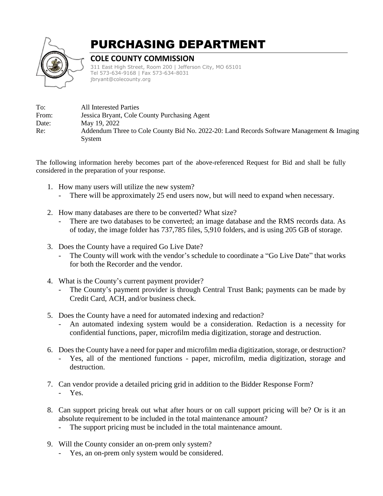

## PURCHASING DEPARTMENT

## **COLE COUNTY COMMISSION**

311 East High Street, Room 200 | Jefferson City, MO 65101 Tel 573-634-9168 | Fax 573-634-8031 jbryant@colecounty.org

| To:   | All Interested Parties                                                                    |
|-------|-------------------------------------------------------------------------------------------|
| From: | Jessica Bryant, Cole County Purchasing Agent                                              |
| Date: | May 19, 2022                                                                              |
| Re:   | Addendum Three to Cole County Bid No. 2022-20: Land Records Software Management & Imaging |
|       | System                                                                                    |

The following information hereby becomes part of the above-referenced Request for Bid and shall be fully considered in the preparation of your response.

- 1. How many users will utilize the new system?
	- There will be approximately 25 end users now, but will need to expand when necessary.
- 2. How many databases are there to be converted? What size?
	- There are two databases to be converted; an image database and the RMS records data. As of today, the image folder has 737,785 files, 5,910 folders, and is using 205 GB of storage.
- 3. Does the County have a required Go Live Date?
	- The County will work with the vendor's schedule to coordinate a "Go Live Date" that works for both the Recorder and the vendor.
- 4. What is the County's current payment provider?
	- The County's payment provider is through Central Trust Bank; payments can be made by Credit Card, ACH, and/or business check.
- 5. Does the County have a need for automated indexing and redaction?
	- An automated indexing system would be a consideration. Redaction is a necessity for confidential functions, paper, microfilm media digitization, storage and destruction.
- 6. Does the County have a need for paper and microfilm media digitization, storage, or destruction?
	- Yes, all of the mentioned functions paper, microfilm, media digitization, storage and destruction.
- 7. Can vendor provide a detailed pricing grid in addition to the Bidder Response Form? - Yes.
- 8. Can support pricing break out what after hours or on call support pricing will be? Or is it an absolute requirement to be included in the total maintenance amount?
	- The support pricing must be included in the total maintenance amount.
- 9. Will the County consider an on-prem only system?
	- Yes, an on-prem only system would be considered.